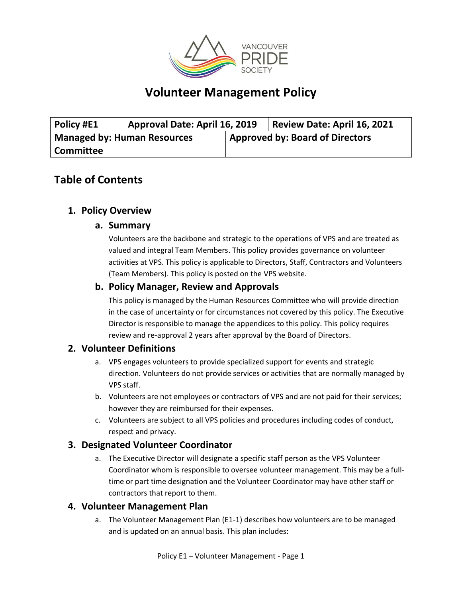

# **Volunteer Management Policy**

| Policy #E1                         | Approval Date: April 16, 2019 |                                        | <b>Review Date: April 16, 2021</b> |
|------------------------------------|-------------------------------|----------------------------------------|------------------------------------|
| <b>Managed by: Human Resources</b> |                               | <b>Approved by: Board of Directors</b> |                                    |
| <b>Committee</b>                   |                               |                                        |                                    |

## **Table of Contents**

### **1. Policy Overview**

#### **a. Summary**

Volunteers are the backbone and strategic to the operations of VPS and are treated as valued and integral Team Members. This policy provides governance on volunteer activities at VPS. This policy is applicable to Directors, Staff, Contractors and Volunteers (Team Members). This policy is posted on the VPS website.

#### **b. Policy Manager, Review and Approvals**

This policy is managed by the Human Resources Committee who will provide direction in the case of uncertainty or for circumstances not covered by this policy. The Executive Director is responsible to manage the appendices to this policy. This policy requires review and re-approval 2 years after approval by the Board of Directors.

#### **2. Volunteer Definitions**

- a. VPS engages volunteers to provide specialized support for events and strategic direction. Volunteers do not provide services or activities that are normally managed by VPS staff.
- b. Volunteers are not employees or contractors of VPS and are not paid for their services; however they are reimbursed for their expenses.
- c. Volunteers are subject to all VPS policies and procedures including codes of conduct, respect and privacy.

#### **3. Designated Volunteer Coordinator**

a. The Executive Director will designate a specific staff person as the VPS Volunteer Coordinator whom is responsible to oversee volunteer management. This may be a fulltime or part time designation and the Volunteer Coordinator may have other staff or contractors that report to them.

#### **4. Volunteer Management Plan**

a. The Volunteer Management Plan (E1-1) describes how volunteers are to be managed and is updated on an annual basis. This plan includes: